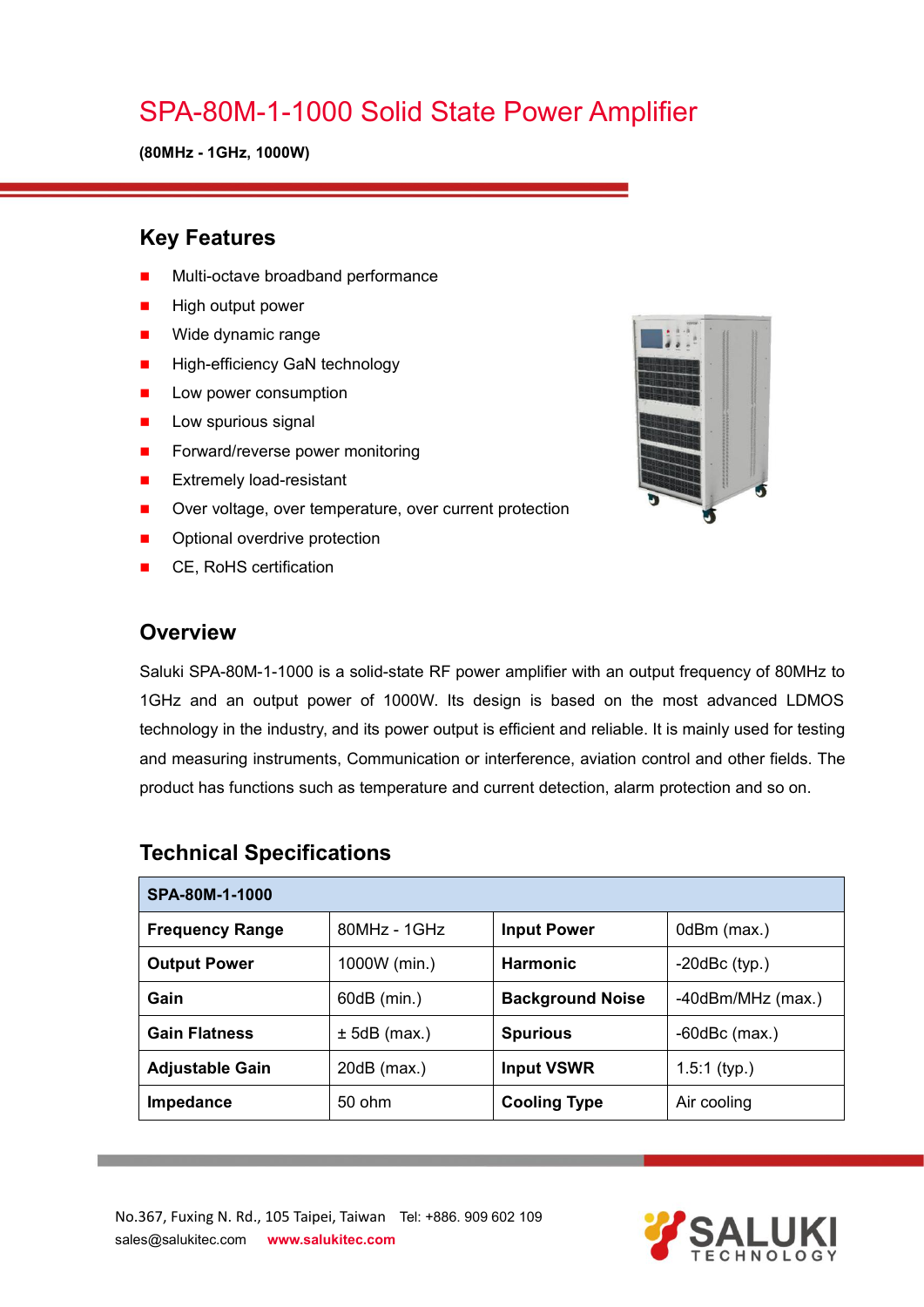## SPA-80M-1-1000 Solid State Power Amplifier

**(80MHz - 1GHz, 1000W)**

### **Key Features**

- Multi-octave broadband performance
- High output power
- **Nide dynamic range**
- **High-efficiency GaN technology**
- **Low power consumption**
- $\blacksquare$  Low spurious signal
- Forward/reverse power monitoring
- **EXtremely load-resistant**
- Over voltage, over temperature, over current protection
- **Deta** Optional overdrive protection
- CE, RoHS certification

#### **Overview**

Saluki SPA-80M-1-1000 is a solid-state RF power amplifier with an output frequency of 80MHz to 1GHz and an output power of 1000W. Its design is based on the most advanced LDMOS technology in the industry, and its power output is efficient and reliable. It is mainly used for testing and measuring instruments, Communication or interference, aviation control and other fields. The product has functions such as temperature and current detection, alarm protection and so on.

| SPA-80M-1-1000         |                |                         |                        |
|------------------------|----------------|-------------------------|------------------------|
| <b>Frequency Range</b> | $80MHz - 1GHz$ | <b>Input Power</b>      | 0dBm (max.)            |
| <b>Output Power</b>    | 1000W (min.)   | <b>Harmonic</b>         | $-20$ dBc $(typ.)$     |
| Gain                   | 60dB (min.)    | <b>Background Noise</b> | $-40$ dBm/MHz $(max.)$ |
| <b>Gain Flatness</b>   | $± 5dB$ (max.) | <b>Spurious</b>         | $-60$ dBc $(max.)$     |
| <b>Adjustable Gain</b> | $20dB$ (max.)  | <b>Input VSWR</b>       | $1.5:1$ (typ.)         |
| Impedance              | 50 ohm         | <b>Cooling Type</b>     | Air cooling            |

#### **Technical Specifications**